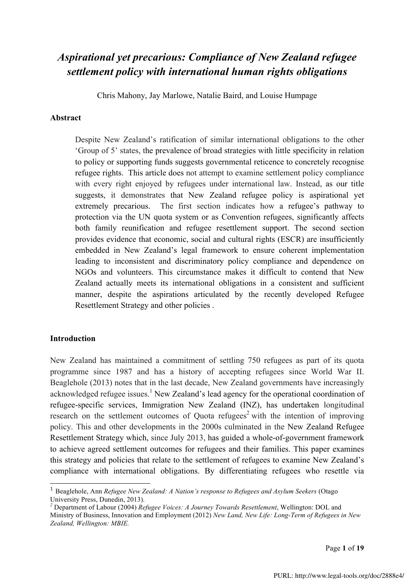# *Aspirational yet precarious: Compliance of New Zealand refugee settlement policy with international human rights obligations*

Chris Mahony, Jay Marlowe, Natalie Baird, and Louise Humpage

#### **Abstract**

Despite New Zealand's ratification of similar international obligations to the other 'Group of 5' states, the prevalence of broad strategies with little specificity in relation to policy or supporting funds suggests governmental reticence to concretely recognise refugee rights. This article does not attempt to examine settlement policy compliance with every right enjoyed by refugees under international law. Instead, as our title suggests, it demonstrates that New Zealand refugee policy is aspirational yet extremely precarious. The first section indicates how a refugee's pathway to protection via the UN quota system or as Convention refugees, significantly affects both family reunification and refugee resettlement support. The second section provides evidence that economic, social and cultural rights (ESCR) are insufficiently embedded in New Zealand's legal framework to ensure coherent implementation leading to inconsistent and discriminatory policy compliance and dependence on NGOs and volunteers. This circumstance makes it difficult to contend that New Zealand actually meets its international obligations in a consistent and sufficient manner, despite the aspirations articulated by the recently developed Refugee Resettlement Strategy and other policies .

#### **Introduction**

 

New Zealand has maintained a commitment of settling 750 refugees as part of its quota programme since 1987 and has a history of accepting refugees since World War II. Beaglehole (2013) notes that in the last decade, New Zealand governments have increasingly acknowledged refugee issues.<sup>1</sup> New Zealand's lead agency for the operational coordination of refugee-specific services, Immigration New Zealand (INZ), has undertaken longitudinal research on the settlement outcomes of Quota refugees<sup>2</sup> with the intention of improving policy. This and other developments in the 2000s culminated in the New Zealand Refugee Resettlement Strategy which, since July 2013, has guided a whole-of-government framework to achieve agreed settlement outcomes for refugees and their families. This paper examines this strategy and policies that relate to the settlement of refugees to examine New Zealand's compliance with international obligations. By differentiating refugees who resettle via

<sup>&</sup>lt;sup>1</sup> Beaglehole, Ann *Refugee New Zealand: A Nation's response to Refugees and Asylum Seekers (Otago*) University Press, Dunedin, 2013).

*<sup>2</sup>* Department of Labour (2004) *Refugee Voices: A Journey Towards Resettlement*, Wellington: DOL and Ministry of Business, Innovation and Employment (2012) *New Land, New Life: Long-Term of Refugees in New Zealand, Wellington: MBIE.*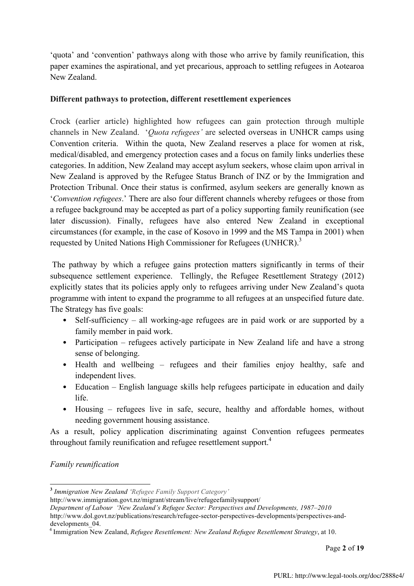'quota' and 'convention' pathways along with those who arrive by family reunification, this paper examines the aspirational, and yet precarious, approach to settling refugees in Aotearoa New Zealand.

## **Different pathways to protection, different resettlement experiences**

Crock (earlier article) highlighted how refugees can gain protection through multiple channels in New Zealand. '*Quota refugees'* are selected overseas in UNHCR camps using Convention criteria. Within the quota, New Zealand reserves a place for women at risk, medical/disabled, and emergency protection cases and a focus on family links underlies these categories. In addition, New Zealand may accept asylum seekers, whose claim upon arrival in New Zealand is approved by the Refugee Status Branch of INZ or by the Immigration and Protection Tribunal. Once their status is confirmed, asylum seekers are generally known as '*Convention refugees*.' There are also four different channels whereby refugees or those from a refugee background may be accepted as part of a policy supporting family reunification (see later discussion). Finally, refugees have also entered New Zealand in exceptional circumstances (for example, in the case of Kosovo in 1999 and the MS Tampa in 2001) when requested by United Nations High Commissioner for Refugees (UNHCR).<sup>3</sup>

The pathway by which a refugee gains protection matters significantly in terms of their subsequence settlement experience. Tellingly, the Refugee Resettlement Strategy (2012) explicitly states that its policies apply only to refugees arriving under New Zealand's quota programme with intent to expand the programme to all refugees at an unspecified future date. The Strategy has five goals:

- Self-sufficiency all working-age refugees are in paid work or are supported by a family member in paid work.
- Participation refugees actively participate in New Zealand life and have a strong sense of belonging.
- Health and wellbeing refugees and their families enjoy healthy, safe and independent lives.
- Education English language skills help refugees participate in education and daily life.
- Housing refugees live in safe, secure, healthy and affordable homes, without needing government housing assistance.

As a result, policy application discriminating against Convention refugees permeates throughout family reunification and refugee resettlement support.<sup>4</sup>

## *Family reunification*

http://www.dol.govt.nz/publications/research/refugee-sector-perspectives-developments/perspectives-anddevelopments. 04

Page **2** of **19**

 **<sup>3</sup>** *Immigration New Zealand 'Refugee Family Support Category'* 

http://www.immigration.govt.nz/migrant/stream/live/refugeefamilysupport/

*Department of Labour 'New Zealand's Refugee Sector: Perspectives and Developments, 1987–2010*

<sup>4</sup> Immigration New Zealand, *Refugee Resettlement: New Zealand Refugee Resettlement Strategy*, at 10.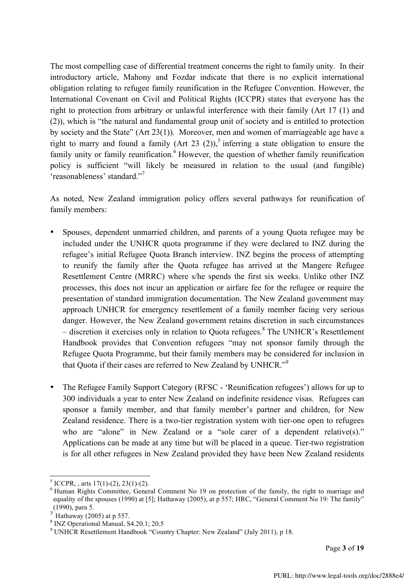The most compelling case of differential treatment concerns the right to family unity. In their introductory article, Mahony and Fozdar indicate that there is no explicit international obligation relating to refugee family reunification in the Refugee Convention. However, the International Covenant on Civil and Political Rights (ICCPR) states that everyone has the right to protection from arbitrary or unlawful interference with their family (Art 17 (1) and (2)), which is "the natural and fundamental group unit of society and is entitled to protection by society and the State" (Art 23(1)). Moreover, men and women of marriageable age have a right to marry and found a family (Art 23 (2)),<sup>5</sup> inferring a state obligation to ensure the family unity or family reunification.<sup>6</sup> However, the question of whether family reunification policy is sufficient "will likely be measured in relation to the usual (and fungible) 'reasonableness' standard."<sup>7</sup>

As noted, New Zealand immigration policy offers several pathways for reunification of family members:

- Spouses, dependent unmarried children, and parents of a young Quota refugee may be included under the UNHCR quota programme if they were declared to INZ during the refugee's initial Refugee Quota Branch interview. INZ begins the process of attempting to reunify the family after the Quota refugee has arrived at the Mangere Refugee Resettlement Centre (MRRC) where s/he spends the first six weeks. Unlike other INZ processes, this does not incur an application or airfare fee for the refugee or require the presentation of standard immigration documentation. The New Zealand government may approach UNHCR for emergency resettlement of a family member facing very serious danger. However, the New Zealand government retains discretion in such circumstances – discretion it exercises only in relation to Quota refugees. <sup>8</sup> The UNHCR's Resettlement Handbook provides that Convention refugees "may not sponsor family through the Refugee Quota Programme, but their family members may be considered for inclusion in that Quota if their cases are referred to New Zealand by UNHCR."<sup>9</sup>
- The Refugee Family Support Category (RFSC 'Reunification refugees') allows for up to 300 individuals a year to enter New Zealand on indefinite residence visas. Refugees can sponsor a family member, and that family member's partner and children, for New Zealand residence. There is a two-tier registration system with tier-one open to refugees who are "alone" in New Zealand or a "sole carer of a dependent relative(s)." Applications can be made at any time but will be placed in a queue. Tier-two registration is for all other refugees in New Zealand provided they have been New Zealand residents

<sup>&</sup>lt;sup>5</sup> ICCPR, , arts 17(1)-(2), 23(1)-(2).<br><sup>6</sup> Human Rights Committee, General Comment No 19 on protection of the family, the right to marriage and equality of the spouses (1990) at [5]; Hathaway (2005), at p 557; HRC, "General Comment No 19: The family" (1990), para 5.<br>  $7 \text{ Hathaway}$  (2005) at p 557.

 $\frac{8 \text{ in } 2000 \text{ in } 5500 \text{ in } 5500 \text{ in } 5500 \text{ in } 5500 \text{ in } 5500 \text{ in } 5500 \text{ in } 5500 \text{ in } 5500 \text{ in } 5500 \text{ in } 5500 \text{ in } 5500 \text{ in } 5500 \text{ in } 5500 \text{ in } 5500 \text{ in } 5500 \text{ in } 5500 \text{ in } 5500 \text{ in } 5500 \text{ in } 5500 \text{ in } 5500 \text{ in }$ 

<sup>9</sup> UNHCR Resettlement Handbook "Country Chapter: New Zealand" (July 2011), p 18.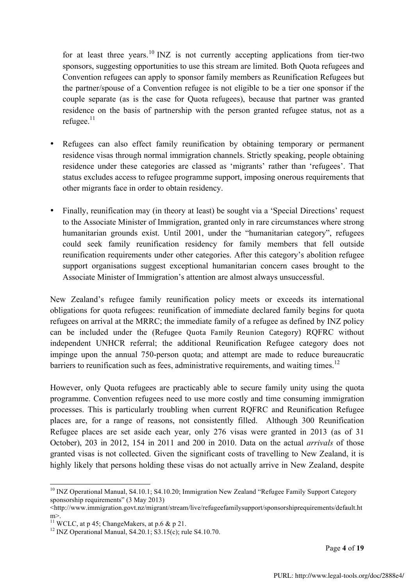for at least three years.<sup>10</sup> INZ is not currently accepting applications from tier-two sponsors, suggesting opportunities to use this stream are limited. Both Quota refugees and Convention refugees can apply to sponsor family members as Reunification Refugees but the partner/spouse of a Convention refugee is not eligible to be a tier one sponsor if the couple separate (as is the case for Quota refugees), because that partner was granted residence on the basis of partnership with the person granted refugee status, not as a refugee.<sup>11</sup>

- Refugees can also effect family reunification by obtaining temporary or permanent residence visas through normal immigration channels. Strictly speaking, people obtaining residence under these categories are classed as 'migrants' rather than 'refugees'. That status excludes access to refugee programme support, imposing onerous requirements that other migrants face in order to obtain residency.
- Finally, reunification may (in theory at least) be sought via a 'Special Directions' request to the Associate Minister of Immigration, granted only in rare circumstances where strong humanitarian grounds exist. Until 2001, under the "humanitarian category", refugees could seek family reunification residency for family members that fell outside reunification requirements under other categories. After this category's abolition refugee support organisations suggest exceptional humanitarian concern cases brought to the Associate Minister of Immigration's attention are almost always unsuccessful.

New Zealand's refugee family reunification policy meets or exceeds its international obligations for quota refugees: reunification of immediate declared family begins for quota refugees on arrival at the MRRC; the immediate family of a refugee as defined by INZ policy can be included under the (Refugee Quota Family Reunion Category) RQFRC without independent UNHCR referral; the additional Reunification Refugee category does not impinge upon the annual 750-person quota; and attempt are made to reduce bureaucratic barriers to reunification such as fees, administrative requirements, and waiting times.<sup>12</sup>

However, only Quota refugees are practicably able to secure family unity using the quota programme. Convention refugees need to use more costly and time consuming immigration processes. This is particularly troubling when current RQFRC and Reunification Refugee places are, for a range of reasons, not consistently filled. Although 300 Reunification Refugee places are set aside each year, only 276 visas were granted in 2013 (as of 31 October), 203 in 2012, 154 in 2011 and 200 in 2010. Data on the actual *arrivals* of those granted visas is not collected. Given the significant costs of travelling to New Zealand, it is highly likely that persons holding these visas do not actually arrive in New Zealand, despite

<sup>&</sup>lt;sup>10</sup> INZ Operational Manual, S4.10.1; S4.10.20; Immigration New Zealand "Refugee Family Support Category sponsorship requirements" (3 May 2013)

<sup>&</sup>lt;http://www.immigration.govt.nz/migrant/stream/live/refugeefamilysupport/sponsorshiprequirements/default.ht m>.<br><sup>11</sup> WCLC. at p 45: ChangeMakers, at p.6 & p 21.

 $12$  INZ Operational Manual, S4.20.1; S3.15(c); rule S4.10.70.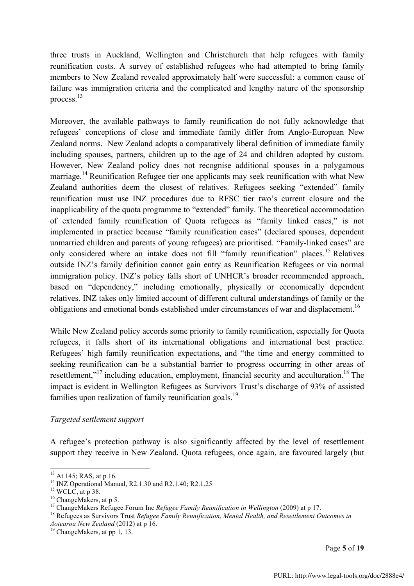three trusts in Auckland, Wellington and Christchurch that help refugees with family reunification costs. A survey of established refugees who had attempted to bring family members to New Zealand revealed approximately half were successful: a common cause of failure was immigration criteria and the complicated and lengthy nature of the sponsorship process. 13

Moreover, the available pathways to family reunification do not fully acknowledge that refugees' conceptions of close and immediate family differ from Anglo-European New Zealand norms. New Zealand adopts a comparatively liberal definition of immediate family including spouses, partners, children up to the age of 24 and children adopted by custom. However, New Zealand policy does not recognise additional spouses in a polygamous marriage.<sup>14</sup> Reunification Refugee tier one applicants may seek reunification with what New Zealand authorities deem the closest of relatives. Refugees seeking "extended" family reunification must use INZ procedures due to RFSC tier two's current closure and the inapplicability of the quota programme to "extended" family. The theoretical accommodation of extended family reunification of Quota refugees as "family linked cases," is not implemented in practice because "family reunification cases" (declared spouses, dependent unmarried children and parents of young refugees) are prioritised. "Family-linked cases" are only considered where an intake does not fill "family reunification" places.<sup>15</sup> Relatives outside INZ's family definition cannot gain entry as Reunification Refugees or via normal immigration policy. INZ's policy falls short of UNHCR's broader recommended approach, based on "dependency," including emotionally, physically or economically dependent relatives. INZ takes only limited account of different cultural understandings of family or the obligations and emotional bonds established under circumstances of war and displacement.<sup>16</sup>

While New Zealand policy accords some priority to family reunification, especially for Quota refugees, it falls short of its international obligations and international best practice. Refugees' high family reunification expectations, and "the time and energy committed to seeking reunification can be a substantial barrier to progress occurring in other areas of resettlement,"<sup>17</sup> including education, employment, financial security and acculturation.<sup>18</sup> The impact is evident in Wellington Refugees as Survivors Trust's discharge of 93% of assisted families upon realization of family reunification goals.<sup>19</sup>

#### *Targeted settlement support*

A refugee's protection pathway is also significantly affected by the level of resettlement support they receive in New Zealand. Quota refugees, once again, are favoured largely (but

Page **5** of **19**

<sup>&</sup>lt;sup>13</sup> At 145; RAS, at p 16.<br><sup>14</sup> INZ Operational Manual, R2.1.30 and R2.1.40; R2.1.25<br><sup>15</sup> WCLC, at p 38.<br><sup>15</sup> ChangeMakers, at p 5.<br><sup>17</sup> ChangeMakers Refugee Forum Inc *Refugee Family Reunification in Wellington* (2009) a *Aotearoa New Zealand* (2012) at p 16. <sup>19</sup> ChangeMakers, at pp 1, 13.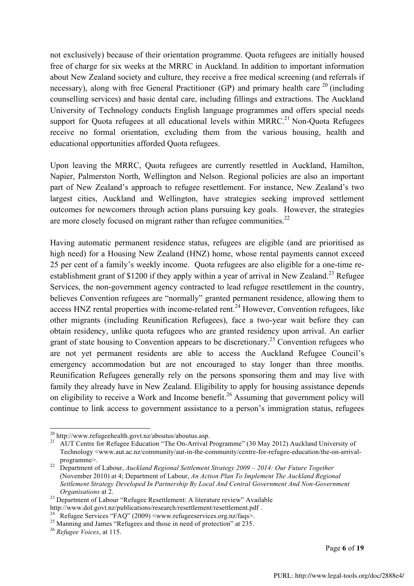not exclusively) because of their orientation programme. Quota refugees are initially housed free of charge for six weeks at the MRRC in Auckland. In addition to important information about New Zealand society and culture, they receive a free medical screening (and referrals if necessary), along with free General Practitioner (GP) and primary health care  $^{20}$  (including counselling services) and basic dental care, including fillings and extractions. The Auckland University of Technology conducts English language programmes and offers special needs support for Quota refugees at all educational levels within  $MRRC<sup>21</sup>$  Non-Quota Refugees receive no formal orientation, excluding them from the various housing, health and educational opportunities afforded Quota refugees.

Upon leaving the MRRC, Quota refugees are currently resettled in Auckland, Hamilton, Napier, Palmerston North, Wellington and Nelson. Regional policies are also an important part of New Zealand's approach to refugee resettlement. For instance, New Zealand's two largest cities, Auckland and Wellington, have strategies seeking improved settlement outcomes for newcomers through action plans pursuing key goals. However, the strategies are more closely focused on migrant rather than refugee communities. $^{22}$ 

Having automatic permanent residence status, refugees are eligible (and are prioritised as high need) for a Housing New Zealand (HNZ) home, whose rental payments cannot exceed 25 per cent of a family's weekly income. Quota refugees are also eligible for a one-time reestablishment grant of \$1200 if they apply within a year of arrival in New Zealand.<sup>23</sup> Refugee Services, the non-government agency contracted to lead refugee resettlement in the country, believes Convention refugees are "normally" granted permanent residence, allowing them to access HNZ rental properties with income-related rent.<sup>24</sup> However, Convention refugees, like other migrants (including Reunification Refugees), face a two-year wait before they can obtain residency, unlike quota refugees who are granted residency upon arrival. An earlier grant of state housing to Convention appears to be discretionary.<sup>25</sup> Convention refugees who are not yet permanent residents are able to access the Auckland Refugee Council's emergency accommodation but are not encouraged to stay longer than three months. Reunification Refugees generally rely on the persons sponsoring them and may live with family they already have in New Zealand. Eligibility to apply for housing assistance depends on eligibility to receive a Work and Income benefit.<sup>26</sup> Assuming that government policy will continue to link access to government assistance to a person's immigration status, refugees

<sup>&</sup>lt;sup>20</sup> http://www.refugeehealth.govt.nz/aboutus/aboutus.asp.<br><sup>21</sup> AUT Centre for Refugee Education "The On-Arrival Programme" (30 May 2012) Auckland University of Technology <www.aut.ac.nz/community/aut-in-the-community/centre-for-refugee-education/the-on-arrival-

programme>. <sup>22</sup> Department of Labour, *Auckland Regional Settlement Strategy 2009 – 2014: Our Future Together* (November 2010) at 4; Department of Labour, *An Action Plan To Implement The Auckland Regional Settlement Strategy Developed In Partnership By Local And Central Government And Non-Government* 

<sup>&</sup>lt;sup>23</sup> Department of Labour "Refugee Resettlement: A literature review" Available http://www.dol.govt.nz/publications/research/resettlement/resettlement.pdf .<br>
<sup>24</sup> Refugee Services "FAQ" (2009) <www.refugeeservices.org.nz/faqs>.<br>
<sup>25</sup> Manning and James "Refugees and those in need of protection" at 235.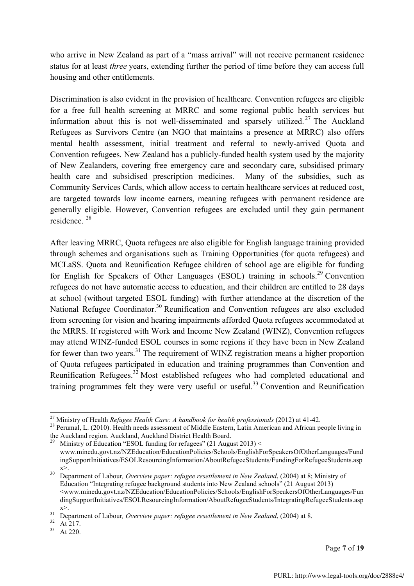who arrive in New Zealand as part of a "mass arrival" will not receive permanent residence status for at least *three* years, extending further the period of time before they can access full housing and other entitlements.

Discrimination is also evident in the provision of healthcare. Convention refugees are eligible for a free full health screening at MRRC and some regional public health services but information about this is not well-disseminated and sparsely utilized.<sup>27</sup> The Auckland Refugees as Survivors Centre (an NGO that maintains a presence at MRRC) also offers mental health assessment, initial treatment and referral to newly-arrived Quota and Convention refugees. New Zealand has a publicly-funded health system used by the majority of New Zealanders, covering free emergency care and secondary care, subsidised primary health care and subsidised prescription medicines. Many of the subsidies, such as Community Services Cards, which allow access to certain healthcare services at reduced cost, are targeted towards low income earners, meaning refugees with permanent residence are generally eligible. However, Convention refugees are excluded until they gain permanent residence. <sup>28</sup>

After leaving MRRC, Quota refugees are also eligible for English language training provided through schemes and organisations such as Training Opportunities (for quota refugees) and MCLaSS. Quota and Reunification Refugee children of school age are eligible for funding for English for Speakers of Other Languages (ESOL) training in schools.<sup>29</sup> Convention refugees do not have automatic access to education, and their children are entitled to 28 days at school (without targeted ESOL funding) with further attendance at the discretion of the National Refugee Coordinator.<sup>30</sup> Reunification and Convention refugees are also excluded from screening for vision and hearing impairments afforded Quota refugees accommodated at the MRRS. If registered with Work and Income New Zealand (WINZ), Convention refugees may attend WINZ-funded ESOL courses in some regions if they have been in New Zealand for fewer than two years. $31$  The requirement of WINZ registration means a higher proportion of Quota refugees participated in education and training programmes than Convention and Reunification Refugees.<sup>32</sup> Most established refugees who had completed educational and training programmes felt they were very useful or useful.<sup>33</sup> Convention and Reunification

<sup>29</sup> Ministry of Education "ESOL funding for refugees" (21 August 2013) < www.minedu.govt.nz/NZEducation/EducationPolicies/Schools/EnglishForSpeakersOfOtherLanguages/Fund ingSupportInitiatives/ESOLResourcingInformation/AboutRefugeeStudents/FundingForRefugeeStudents.asp

Page **7** of **19**

<sup>&</sup>lt;sup>27</sup> Ministry of Health *Refugee Health Care: A handbook for health professionals* (2012) at 41-42.<br><sup>28</sup> Perumal, L. (2010). Health needs assessment of Middle Eastern, Latin American and African people living in the Auckland region. Auckland, Auckland District Health Board.

x>. <sup>30</sup> Department of Labour*, Overview paper: refugee resettlement in New Zealand*, (2004) at 8; Ministry of Education "Integrating refugee background students into New Zealand schools" (21 August 2013) <www.minedu.govt.nz/NZEducation/EducationPolicies/Schools/EnglishForSpeakersOfOtherLanguages/Fun dingSupportInitiatives/ESOLResourcingInformation/AboutRefugeeStudents/IntegratingRefugeeStudents.asp

x>.<br>31 Department of Labour, *Overview paper: refugee resettlement in New Zealand*, (2004) at 8.<br>32 At 217.<br>4t 220.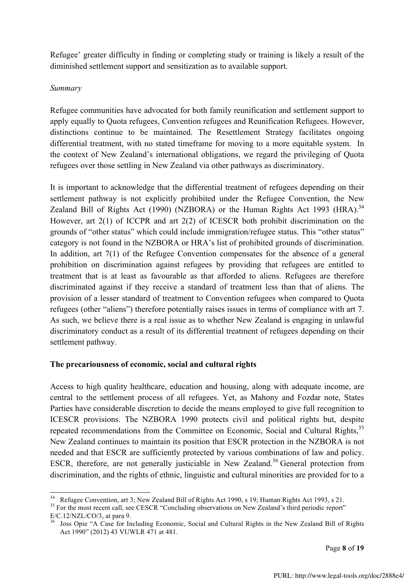Refugee' greater difficulty in finding or completing study or training is likely a result of the diminished settlement support and sensitization as to available support.

## *Summary*

Refugee communities have advocated for both family reunification and settlement support to apply equally to Quota refugees, Convention refugees and Reunification Refugees. However, distinctions continue to be maintained. The Resettlement Strategy facilitates ongoing differential treatment, with no stated timeframe for moving to a more equitable system. In the context of New Zealand's international obligations, we regard the privileging of Quota refugees over those settling in New Zealand via other pathways as discriminatory.

It is important to acknowledge that the differential treatment of refugees depending on their settlement pathway is not explicitly prohibited under the Refugee Convention, the New Zealand Bill of Rights Act (1990) (NZBORA) or the Human Rights Act 1993 (HRA).<sup>34</sup> However, art 2(1) of ICCPR and art 2(2) of ICESCR both prohibit discrimination on the grounds of "other status" which could include immigration/refugee status. This "other status" category is not found in the NZBORA or HRA's list of prohibited grounds of discrimination. In addition, art 7(1) of the Refugee Convention compensates for the absence of a general prohibition on discrimination against refugees by providing that refugees are entitled to treatment that is at least as favourable as that afforded to aliens. Refugees are therefore discriminated against if they receive a standard of treatment less than that of aliens. The provision of a lesser standard of treatment to Convention refugees when compared to Quota refugees (other "aliens") therefore potentially raises issues in terms of compliance with art 7. As such, we believe there is a real issue as to whether New Zealand is engaging in unlawful discriminatory conduct as a result of its differential treatment of refugees depending on their settlement pathway.

## **The precariousness of economic, social and cultural rights**

Access to high quality healthcare, education and housing, along with adequate income, are central to the settlement process of all refugees. Yet, as Mahony and Fozdar note, States Parties have considerable discretion to decide the means employed to give full recognition to ICESCR provisions. The NZBORA 1990 protects civil and political rights but, despite repeated recommendations from the Committee on Economic, Social and Cultural Rights,<sup>35</sup> New Zealand continues to maintain its position that ESCR protection in the NZBORA is not needed and that ESCR are sufficiently protected by various combinations of law and policy. ESCR, therefore, are not generally justiciable in New Zealand.<sup>36</sup> General protection from discrimination, and the rights of ethnic, linguistic and cultural minorities are provided for to a

<sup>&</sup>lt;sup>34</sup> Refugee Convention, art 3; New Zealand Bill of Rights Act 1990, s 19; Human Rights Act 1993, s 21.<br><sup>35</sup> For the most recent call, see CESCR "Concluding observations on New Zealand's third periodic report"

E/C.12/NZL/CO/3, at para 9.

<sup>36</sup> Joss Opie "A Case for Including Economic, Social and Cultural Rights in the New Zealand Bill of Rights Act 1990" (2012) 43 VUWLR 471 at 481.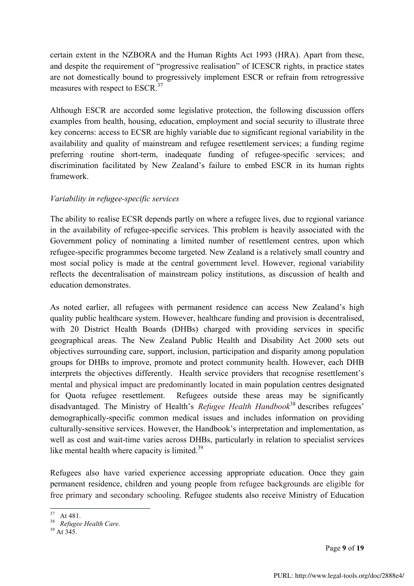certain extent in the NZBORA and the Human Rights Act 1993 (HRA). Apart from these, and despite the requirement of "progressive realisation" of ICESCR rights, in practice states are not domestically bound to progressively implement ESCR or refrain from retrogressive measures with respect to ESCR.<sup>37</sup>

Although ESCR are accorded some legislative protection, the following discussion offers examples from health, housing, education, employment and social security to illustrate three key concerns: access to ECSR are highly variable due to significant regional variability in the availability and quality of mainstream and refugee resettlement services; a funding regime preferring routine short-term, inadequate funding of refugee-specific services; and discrimination facilitated by New Zealand's failure to embed ESCR in its human rights framework.

## *Variability in refugee-specific services*

The ability to realise ECSR depends partly on where a refugee lives, due to regional variance in the availability of refugee-specific services. This problem is heavily associated with the Government policy of nominating a limited number of resettlement centres, upon which refugee-specific programmes become targeted. New Zealand is a relatively small country and most social policy is made at the central government level. However, regional variability reflects the decentralisation of mainstream policy institutions, as discussion of health and education demonstrates.

As noted earlier, all refugees with permanent residence can access New Zealand's high quality public healthcare system. However, healthcare funding and provision is decentralised, with 20 District Health Boards (DHBs) charged with providing services in specific geographical areas. The New Zealand Public Health and Disability Act 2000 sets out objectives surrounding care, support, inclusion, participation and disparity among population groups for DHBs to improve, promote and protect community health. However, each DHB interprets the objectives differently. Health service providers that recognise resettlement's mental and physical impact are predominantly located in main population centres designated for Quota refugee resettlement. Refugees outside these areas may be significantly disadvantaged. The Ministry of Health's *Refugee Health Handbook*<sup>38</sup> describes refugees' demographically-specific common medical issues and includes information on providing culturally-sensitive services. However, the Handbook's interpretation and implementation, as well as cost and wait-time varies across DHBs, particularly in relation to specialist services like mental health where capacity is limited.<sup>39</sup>

Refugees also have varied experience accessing appropriate education. Once they gain permanent residence, children and young people from refugee backgrounds are eligible for free primary and secondary schooling. Refugee students also receive Ministry of Education

Page **9** of **19**

 <sup>37</sup> At 481. <sup>38</sup> *Refugee Health Care*. <sup>39</sup> At 345.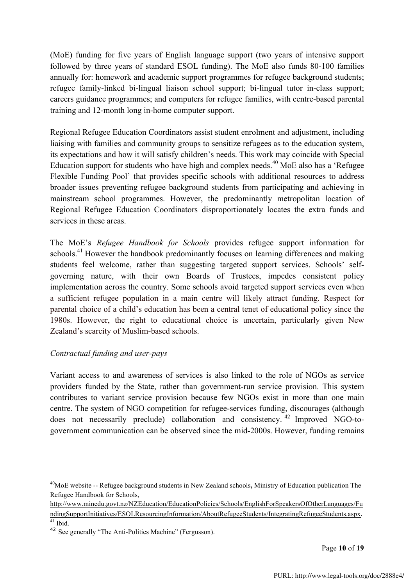(MoE) funding for five years of English language support (two years of intensive support followed by three years of standard ESOL funding). The MoE also funds 80-100 families annually for: homework and academic support programmes for refugee background students; refugee family-linked bi-lingual liaison school support; bi-lingual tutor in-class support; careers guidance programmes; and computers for refugee families, with centre-based parental training and 12-month long in-home computer support.

Regional Refugee Education Coordinators assist student enrolment and adjustment, including liaising with families and community groups to sensitize refugees as to the education system, its expectations and how it will satisfy children's needs. This work may coincide with Special Education support for students who have high and complex needs.<sup>40</sup> MoE also has a 'Refugee Flexible Funding Pool' that provides specific schools with additional resources to address broader issues preventing refugee background students from participating and achieving in mainstream school programmes. However, the predominantly metropolitan location of Regional Refugee Education Coordinators disproportionately locates the extra funds and services in these areas.

The MoE's *Refugee Handbook for Schools* provides refugee support information for schools.<sup>41</sup> However the handbook predominantly focuses on learning differences and making students feel welcome, rather than suggesting targeted support services. Schools' selfgoverning nature, with their own Boards of Trustees, impedes consistent policy implementation across the country. Some schools avoid targeted support services even when a sufficient refugee population in a main centre will likely attract funding. Respect for parental choice of a child's education has been a central tenet of educational policy since the 1980s. However, the right to educational choice is uncertain, particularly given New Zealand's scarcity of Muslim-based schools.

## *Contractual funding and user-pays*

 

Variant access to and awareness of services is also linked to the role of NGOs as service providers funded by the State, rather than government-run service provision. This system contributes to variant service provision because few NGOs exist in more than one main centre. The system of NGO competition for refugee-services funding, discourages (although does not necessarily preclude) collaboration and consistency. <sup>42</sup> Improved NGO-togovernment communication can be observed since the mid-2000s. However, funding remains

Page **10** of **19**

<sup>40</sup>MoE website -- Refugee background students in New Zealand schools**,** Ministry of Education publication The Refugee Handbook for Schools,

http://www.minedu.govt.nz/NZEducation/EducationPolicies/Schools/EnglishForSpeakersOfOtherLanguages/Fu ndingSupportInitiatives/ESOLResourcingInformation/AboutRefugeeStudents/IntegratingRefugeeStudents.aspx.

 $41$  Ibid.

<sup>42</sup> See generally "The Anti-Politics Machine" (Fergusson).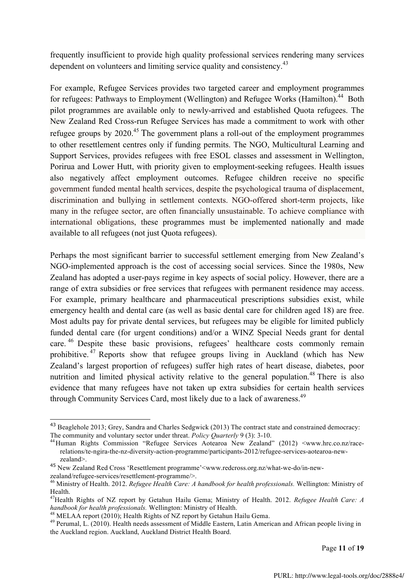frequently insufficient to provide high quality professional services rendering many services dependent on volunteers and limiting service quality and consistency.<sup>43</sup>

For example, Refugee Services provides two targeted career and employment programmes for refugees: Pathways to Employment (Wellington) and Refugee Works (Hamilton).<sup>44</sup> Both pilot programmes are available only to newly-arrived and established Quota refugees. The New Zealand Red Cross-run Refugee Services has made a commitment to work with other refugee groups by 2020.<sup>45</sup> The government plans a roll-out of the employment programmes to other resettlement centres only if funding permits. The NGO, Multicultural Learning and Support Services, provides refugees with free ESOL classes and assessment in Wellington, Porirua and Lower Hutt, with priority given to employment-seeking refugees. Health issues also negatively affect employment outcomes. Refugee children receive no specific government funded mental health services, despite the psychological trauma of displacement, discrimination and bullying in settlement contexts. NGO-offered short-term projects, like many in the refugee sector, are often financially unsustainable. To achieve compliance with international obligations, these programmes must be implemented nationally and made available to all refugees (not just Quota refugees).

Perhaps the most significant barrier to successful settlement emerging from New Zealand's NGO-implemented approach is the cost of accessing social services. Since the 1980s, New Zealand has adopted a user-pays regime in key aspects of social policy. However, there are a range of extra subsidies or free services that refugees with permanent residence may access. For example, primary healthcare and pharmaceutical prescriptions subsidies exist, while emergency health and dental care (as well as basic dental care for children aged 18) are free. Most adults pay for private dental services, but refugees may be eligible for limited publicly funded dental care (for urgent conditions) and/or a WINZ Special Needs grant for dental care. <sup>46</sup> Despite these basic provisions, refugees' healthcare costs commonly remain prohibitive. <sup>47</sup> Reports show that refugee groups living in Auckland (which has New Zealand's largest proportion of refugees) suffer high rates of heart disease, diabetes, poor nutrition and limited physical activity relative to the general population.<sup>48</sup> There is also evidence that many refugees have not taken up extra subsidies for certain health services through Community Services Card, most likely due to a lack of awareness.<sup>49</sup>

 

Page **11** of **19**

<sup>43</sup> Beaglehole 2013; Grey, Sandra and Charles Sedgwick (2013) The contract state and constrained democracy: The community and voluntary sector under threat. *Policy Quarterly* 9 (3): 3-10.<br><sup>44</sup>Human Rights Commission "Refugee Services Aotearoa New Zealand" (2012) <www.hrc.co.nz/race-

relations/te-ngira-the-nz-diversity-action-programme/participants-2012/refugee-services-aotearoa-newzealand>.

<sup>&</sup>lt;sup>45</sup> New Zealand Red Cross 'Resettlement programme'<www.redcross.org.nz/what-we-do/in-new-zealand/refugee-services/resettlement-programme/>.

<sup>&</sup>lt;sup>46</sup> Ministry of Health. 2012. *Refugee Health Care: A handbook for health professionals.* Wellington: Ministry of Health.

<sup>&</sup>lt;sup>47</sup>Health Rights of NZ report by Getahun Hailu Gema; Ministry of Health. 2012. *Refugee Health Care: A handbook for health professionals.* Wellington: Ministry of Health.

<sup>&</sup>lt;sup>48</sup> MELAA report (2010); Health Rights of NZ report by Getahun Hailu Gema.<br><sup>49</sup> Perumal, L. (2010). Health needs assessment of Middle Eastern, Latin American and African people living in the Auckland region. Auckland, Auckland District Health Board.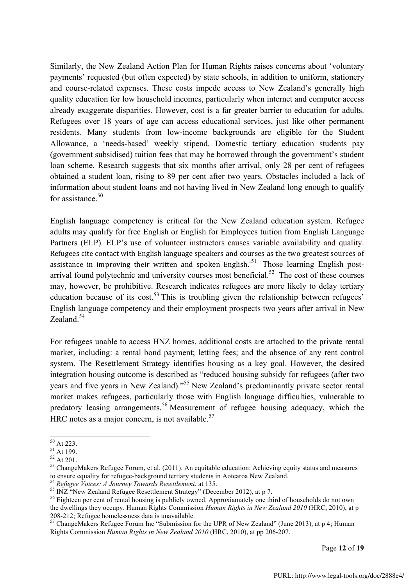Similarly, the New Zealand Action Plan for Human Rights raises concerns about 'voluntary payments' requested (but often expected) by state schools, in addition to uniform, stationery and course-related expenses. These costs impede access to New Zealand's generally high quality education for low household incomes, particularly when internet and computer access already exaggerate disparities. However, cost is a far greater barrier to education for adults. Refugees over 18 years of age can access educational services, just like other permanent residents. Many students from low-income backgrounds are eligible for the Student Allowance, a 'needs-based' weekly stipend. Domestic tertiary education students pay (government subsidised) tuition fees that may be borrowed through the government's student loan scheme. Research suggests that six months after arrival, only 28 per cent of refugees obtained a student loan, rising to 89 per cent after two years. Obstacles included a lack of information about student loans and not having lived in New Zealand long enough to qualify for assistance.<sup>50</sup>

English language competency is critical for the New Zealand education system. Refugee adults may qualify for free English or English for Employees tuition from English Language Partners (ELP). ELP's use of volunteer instructors causes variable availability and quality. Refugees cite contact with English language speakers and courses as the two greatest sources of assistance in improving their written and spoken English.<sup>51</sup> Those learning English postarrival found polytechnic and university courses most beneficial.<sup>52</sup> The cost of these courses may, however, be prohibitive. Research indicates refugees are more likely to delay tertiary education because of its cost.<sup>53</sup> This is troubling given the relationship between refugees' English language competency and their employment prospects two years after arrival in New Zealand<sup>54</sup>

For refugees unable to access HNZ homes, additional costs are attached to the private rental market, including: a rental bond payment; letting fees; and the absence of any rent control system. The Resettlement Strategy identifies housing as a key goal. However, the desired integration housing outcome is described as "reduced housing subsidy for refugees (after two years and five years in New Zealand)."<sup>55</sup> New Zealand's predominantly private sector rental market makes refugees, particularly those with English language difficulties, vulnerable to predatory leasing arrangements.<sup>56</sup> Measurement of refugee housing adequacy, which the HRC notes as a major concern, is not available. $57$ 

Page **12** of **19**

<sup>&</sup>lt;sup>50</sup> At 223.<br><sup>51</sup> At 199.<br><sup>52</sup> At 201.<br><sup>53</sup> ChangeMakers Refugee Forum, et al. (2011). An equitable education: Achieving equity status and measures to ensure equality for refugee-background tertiary students in Aotearoa N

<sup>&</sup>lt;sup>54</sup> Refugee Voices: A Journey Towards Resettlement, at 135.<br><sup>55</sup> INZ "New Zealand Refugee Resettlement Strategy" (December 2012), at p 7.<br><sup>56</sup> Eighteen per cent of rental housing is publicly owned. Approxiamately one thi the dwellings they occupy. Human Rights Commission *Human Rights in New Zealand 2010* (HRC, 2010), at p

<sup>208-212;</sup> Refugee homelessness data is unavailable.<br><sup>57</sup> ChangeMakers Refugee Forum Inc "Submission for the UPR of New Zealand" (June 2013), at p 4; Human Rights Commission *Human Rights in New Zealand 2010* (HRC, 2010), at pp 206-207.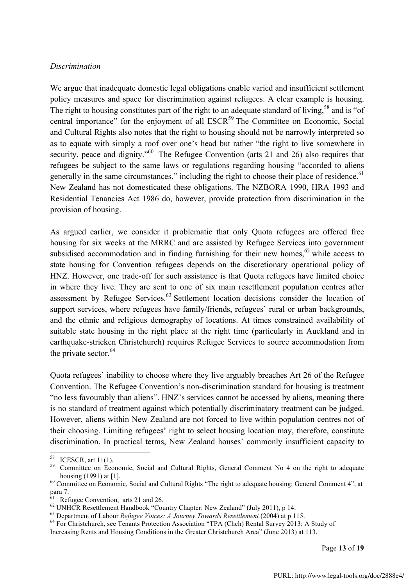#### *Discrimination*

We argue that inadequate domestic legal obligations enable varied and insufficient settlement policy measures and space for discrimination against refugees. A clear example is housing. The right to housing constitutes part of the right to an adequate standard of living,<sup>58</sup> and is "of central importance" for the enjoyment of all  $ESCR<sup>59</sup>$  The Committee on Economic, Social and Cultural Rights also notes that the right to housing should not be narrowly interpreted so as to equate with simply a roof over one's head but rather "the right to live somewhere in security, peace and dignity."<sup>60</sup> The Refugee Convention (arts 21 and 26) also requires that refugees be subject to the same laws or regulations regarding housing "accorded to aliens generally in the same circumstances," including the right to choose their place of residence.<sup>61</sup> New Zealand has not domesticated these obligations. The NZBORA 1990, HRA 1993 and Residential Tenancies Act 1986 do, however, provide protection from discrimination in the provision of housing.

As argued earlier, we consider it problematic that only Quota refugees are offered free housing for six weeks at the MRRC and are assisted by Refugee Services into government subsidised accommodation and in finding furnishing for their new homes, $62$  while access to state housing for Convention refugees depends on the discretionary operational policy of HNZ. However, one trade-off for such assistance is that Quota refugees have limited choice in where they live. They are sent to one of six main resettlement population centres after assessment by Refugee Services.<sup>63</sup> Settlement location decisions consider the location of support services, where refugees have family/friends, refugees' rural or urban backgrounds, and the ethnic and religious demography of locations. At times constrained availability of suitable state housing in the right place at the right time (particularly in Auckland and in earthquake-stricken Christchurch) requires Refugee Services to source accommodation from the private sector. 64

Quota refugees' inability to choose where they live arguably breaches Art 26 of the Refugee Convention. The Refugee Convention's non-discrimination standard for housing is treatment "no less favourably than aliens". HNZ's services cannot be accessed by aliens, meaning there is no standard of treatment against which potentially discriminatory treatment can be judged. However, aliens within New Zealand are not forced to live within population centres not of their choosing. Limiting refugees' right to select housing location may, therefore, constitute discrimination. In practical terms, New Zealand houses' commonly insufficient capacity to

<sup>&</sup>lt;sup>58</sup> ICESCR, art 11(1).<br><sup>59</sup> Committee on Economic, Social and Cultural Rights, General Comment No 4 on the right to adequate housing (1991) at [1].<br><sup>60</sup> Committee on Economic, Social and Cultural Rights "The right to adequate housing: General Comment 4", at

para 7.<br><sup>61</sup> Refugee Convention, arts 21 and 26.

<sup>&</sup>lt;sup>62</sup> UNHCR Resettlement Handbook "Country Chapter: New Zealand" (July 2011), p 14.<br><sup>63</sup> Department of Labour *Refugee Voices: A Journey Towards Resettlement* (2004) at p 115.<br><sup>64</sup> For Christchurch, see Tenants Protection A Increasing Rents and Housing Conditions in the Greater Christchurch Area" (June 2013) at 113.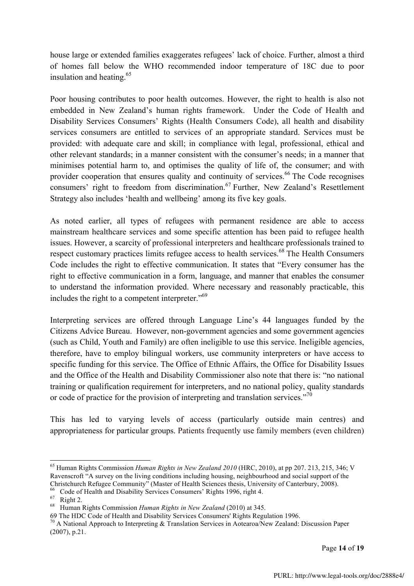house large or extended families exaggerates refugees' lack of choice. Further, almost a third of homes fall below the WHO recommended indoor temperature of 18C due to poor insulation and heating. 65

Poor housing contributes to poor health outcomes. However, the right to health is also not embedded in New Zealand's human rights framework. Under the Code of Health and Disability Services Consumers' Rights (Health Consumers Code), all health and disability services consumers are entitled to services of an appropriate standard. Services must be provided: with adequate care and skill; in compliance with legal, professional, ethical and other relevant standards; in a manner consistent with the consumer's needs; in a manner that minimises potential harm to, and optimises the quality of life of, the consumer; and with provider cooperation that ensures quality and continuity of services.<sup>66</sup> The Code recognises consumers' right to freedom from discrimination.<sup>67</sup> Further, New Zealand's Resettlement Strategy also includes 'health and wellbeing' among its five key goals.

As noted earlier, all types of refugees with permanent residence are able to access mainstream healthcare services and some specific attention has been paid to refugee health issues. However, a scarcity of professional interpreters and healthcare professionals trained to respect customary practices limits refugee access to health services.<sup>68</sup> The Health Consumers Code includes the right to effective communication. It states that "Every consumer has the right to effective communication in a form, language, and manner that enables the consumer to understand the information provided. Where necessary and reasonably practicable, this includes the right to a competent interpreter."69

Interpreting services are offered through Language Line's 44 languages funded by the Citizens Advice Bureau. However, non-government agencies and some government agencies (such as Child, Youth and Family) are often ineligible to use this service. Ineligible agencies, therefore, have to employ bilingual workers, use community interpreters or have access to specific funding for this service. The Office of Ethnic Affairs, the Office for Disability Issues and the Office of the Health and Disability Commissioner also note that there is: "no national training or qualification requirement for interpreters, and no national policy, quality standards or code of practice for the provision of interpreting and translation services."<sup>70</sup>

This has led to varying levels of access (particularly outside main centres) and appropriateness for particular groups. Patients frequently use family members (even children)

67 Right 2.<br><sup>68</sup> Human Rights Commission *Human Rights in New Zealand* (2010) at 345.<br>69 The HDC Code of Health and Disability Services Consumers' Rights Regulation 1996.

Page **14** of **19**

 <sup>65</sup> Human Rights Commission *Human Rights in New Zealand 2010* (HRC, 2010), at pp 207. 213, 215, 346; V Ravenscroft "A survey on the living conditions including housing, neighbourhood and social support of the Christchurch Refugee Community" (Master of Health Sciences thesis, University of Canterbury, 2008).<br><sup>66</sup> Code of Health and Disability Services Consumers' Rights 1996, right 4.

<sup>&</sup>lt;sup>70</sup> A National Approach to Interpreting & Translation Services in Aotearoa/New Zealand: Discussion Paper (2007), p.21.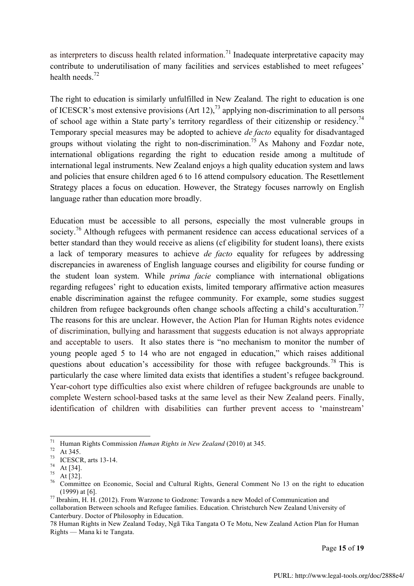as interpreters to discuss health related information.<sup>71</sup> Inadequate interpretative capacity may contribute to underutilisation of many facilities and services established to meet refugees' health needs.<sup>72</sup>

The right to education is similarly unfulfilled in New Zealand. The right to education is one of ICESCR's most extensive provisions (Art 12),<sup>73</sup> applying non-discrimination to all persons of school age within a State party's territory regardless of their citizenship or residency.<sup>74</sup> Temporary special measures may be adopted to achieve *de facto* equality for disadvantaged groups without violating the right to non-discrimination.<sup>75</sup> As Mahony and Fozdar note, international obligations regarding the right to education reside among a multitude of international legal instruments. New Zealand enjoys a high quality education system and laws and policies that ensure children aged 6 to 16 attend compulsory education. The Resettlement Strategy places a focus on education. However, the Strategy focuses narrowly on English language rather than education more broadly.

Education must be accessible to all persons, especially the most vulnerable groups in society.<sup>76</sup> Although refugees with permanent residence can access educational services of a better standard than they would receive as aliens (cf eligibility for student loans), there exists a lack of temporary measures to achieve *de facto* equality for refugees by addressing discrepancies in awareness of English language courses and eligibility for course funding or the student loan system. While *prima facie* compliance with international obligations regarding refugees' right to education exists, limited temporary affirmative action measures enable discrimination against the refugee community. For example, some studies suggest children from refugee backgrounds often change schools affecting a child's acculturation.<sup>77</sup> The reasons for this are unclear. However, the Action Plan for Human Rights notes evidence of discrimination, bullying and harassment that suggests education is not always appropriate and acceptable to users. It also states there is "no mechanism to monitor the number of young people aged 5 to 14 who are not engaged in education," which raises additional questions about education's accessibility for those with refugee backgrounds.<sup>78</sup> This is particularly the case where limited data exists that identifies a student's refugee background. Year-cohort type difficulties also exist where children of refugee backgrounds are unable to complete Western school-based tasks at the same level as their New Zealand peers. Finally, identification of children with disabilities can further prevent access to 'mainstream'

Page **15** of **19**

<sup>&</sup>lt;sup>71</sup> Human Rights Commission *Human Rights in New Zealand* (2010) at 345.<br><sup>72</sup> At 345.<br><sup>73</sup> ICESCR, arts 13-14.<br><sup>74</sup> At [34].<br><sup>75</sup> At [32].<br><sup>76</sup> Committee on Economic, Social and Cultural Rights, General Comment No 13 on (1999) at [6].  $^{77}$  Ibrahim, H. H. (2012). From Warzone to Godzone: Towards a new Model of Communication and

collaboration Between schools and Refugee families. Education. Christchurch New Zealand University of Canterbury. Doctor of Philosophy in Education.

<sup>78</sup> Human Rights in New Zealand Today, Ngā Tika Tangata O Te Motu, New Zealand Action Plan for Human Rights — Mana ki te Tangata.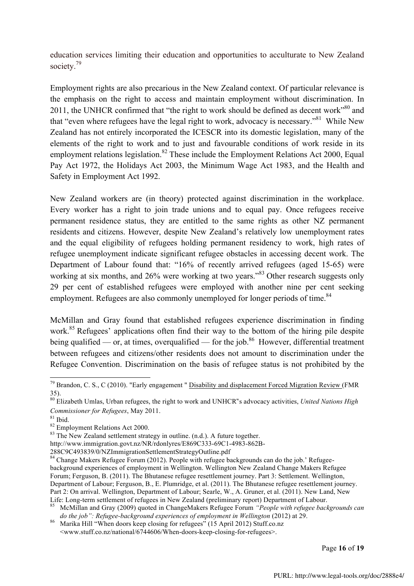education services limiting their education and opportunities to acculturate to New Zealand society.<sup>79</sup>

Employment rights are also precarious in the New Zealand context. Of particular relevance is the emphasis on the right to access and maintain employment without discrimination. In 2011, the UNHCR confirmed that "the right to work should be defined as decent work"<sup>80</sup> and that "even where refugees have the legal right to work, advocacy is necessary."81 While New Zealand has not entirely incorporated the ICESCR into its domestic legislation, many of the elements of the right to work and to just and favourable conditions of work reside in its employment relations legislation.<sup>82</sup> These include the Employment Relations Act 2000, Equal Pay Act 1972, the Holidays Act 2003, the Minimum Wage Act 1983, and the Health and Safety in Employment Act 1992.

New Zealand workers are (in theory) protected against discrimination in the workplace. Every worker has a right to join trade unions and to equal pay. Once refugees receive permanent residence status, they are entitled to the same rights as other NZ permanent residents and citizens. However, despite New Zealand's relatively low unemployment rates and the equal eligibility of refugees holding permanent residency to work, high rates of refugee unemployment indicate significant refugee obstacles in accessing decent work. The Department of Labour found that: "16% of recently arrived refugees (aged 15-65) were working at six months, and 26% were working at two years.<sup>83</sup> Other research suggests only 29 per cent of established refugees were employed with another nine per cent seeking employment. Refugees are also commonly unemployed for longer periods of time.<sup>84</sup>

McMillan and Gray found that established refugees experience discrimination in finding work.<sup>85</sup> Refugees' applications often find their way to the bottom of the hiring pile despite being qualified — or, at times, overqualified — for the job.<sup>86</sup> However, differential treatment between refugees and citizens/other residents does not amount to discrimination under the Refugee Convention. Discrimination on the basis of refugee status is not prohibited by the

288C9C493839/0/NZImmigrationSettlementStrategyOutline.pdf

Page **16** of **19**

 <sup>79</sup> Brandon, C. S., C (2010). "Early engagement " Disability and displacement Forced Migration Review (FMR 35).

<sup>80</sup> Elizabeth Umlas, Urban refugees, the right to work and UNHCR"s advocacy activities, *United Nations High Commissioner for Refugees*, May 2011.<br><sup>81</sup> Ibid. <sup>82</sup> Employment Relations Act 2000.<br><sup>83</sup> The New Zealand settlement strategy in outline. (n.d.). A future together.

http://www.immigration.govt.nz/NR/rdonlyres/E869C333-69C1-4983-862B-

<sup>&</sup>lt;sup>84</sup> Change Makers Refugee Forum (2012). People with refugee backgrounds can do the job.' Refugeebackground experiences of employment in Wellington. Wellington New Zealand Change Makers Refugee Forum; Ferguson, B. (2011). The Bhutanese refugee resettlement journey. Part 3: Settlement. Wellington, Department of Labour; Ferguson, B., E. Plumridge, et al. (2011). The Bhutanese refugee resettlement journey. Part 2: On arrival. Wellington, Department of Labour; Searle, W., A. Gruner, et al. (2011). New Land, New Life: Long-term settlement of refugees in New Zealand (preliminary report) Department of Labour.

<sup>&</sup>lt;sup>85</sup> McMillan and Gray (2009) quoted in ChangeMakers Refugee Forum *"People with refugee backgrounds can do the job": Refugee-background experiences of employment in Wellington (2012) at 29.* 

*Marika Hill* "When doors keep closing for refugees" (15 April 2012) Stuff.co.nz <www.stuff.co.nz/national/6744606/When-doors-keep-closing-for-refugees>.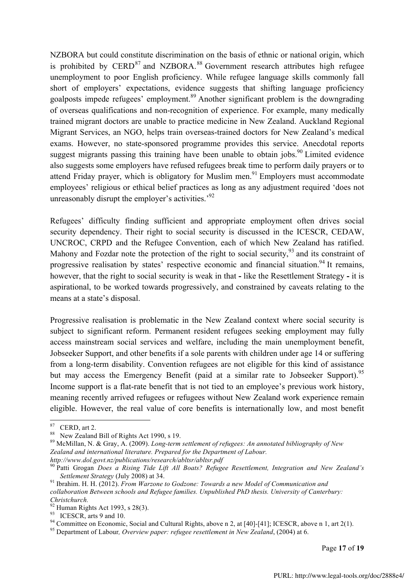NZBORA but could constitute discrimination on the basis of ethnic or national origin, which is prohibited by CERD $^{87}$  and NZBORA.<sup>88</sup> Government research attributes high refugee unemployment to poor English proficiency. While refugee language skills commonly fall short of employers' expectations, evidence suggests that shifting language proficiency goalposts impede refugees' employment.<sup>89</sup> Another significant problem is the downgrading of overseas qualifications and non-recognition of experience. For example, many medically trained migrant doctors are unable to practice medicine in New Zealand. Auckland Regional Migrant Services, an NGO, helps train overseas-trained doctors for New Zealand's medical exams. However, no state-sponsored programme provides this service. Anecdotal reports suggest migrants passing this training have been unable to obtain jobs.<sup>90</sup> Limited evidence also suggests some employers have refused refugees break time to perform daily prayers or to attend Friday prayer, which is obligatory for Muslim men.<sup>91</sup> Employers must accommodate employees' religious or ethical belief practices as long as any adjustment required 'does not unreasonably disrupt the employer's activities.<sup>92</sup>

Refugees' difficulty finding sufficient and appropriate employment often drives social security dependency. Their right to social security is discussed in the ICESCR, CEDAW, UNCROC, CRPD and the Refugee Convention, each of which New Zealand has ratified. Mahony and Fozdar note the protection of the right to social security,  $93$  and its constraint of progressive realisation by states' respective economic and financial situation.<sup>94</sup> It remains, however, that the right to social security is weak in that **-** like the Resettlement Strategy **-** it is aspirational, to be worked towards progressively, and constrained by caveats relating to the means at a state's disposal.

Progressive realisation is problematic in the New Zealand context where social security is subject to significant reform. Permanent resident refugees seeking employment may fully access mainstream social services and welfare, including the main unemployment benefit, Jobseeker Support, and other benefits if a sole parents with children under age 14 or suffering from a long-term disability. Convention refugees are not eligible for this kind of assistance but may access the Emergency Benefit (paid at a similar rate to Jobseeker Support).<sup>95</sup> Income support is a flat-rate benefit that is not tied to an employee's previous work history, meaning recently arrived refugees or refugees without New Zealand work experience remain eligible. However, the real value of core benefits is internationally low, and most benefit

<sup>93</sup> ICESCR, arts 9 and 10.<br><sup>94</sup> Committee on Economic, Social and Cultural Rights, above n 2, at [40]-[41]; ICESCR, above n 1, art 2(1).<br><sup>95</sup> Department of Labour, *Overview paper: refugee resettlement in New Zealand*, (

Page **17** of **19**

<sup>&</sup>lt;sup>87</sup> CERD, art 2.<br><sup>88</sup> New Zealand Bill of Rights Act 1990, s 19.<br><sup>89</sup> McMillan, N. & Gray, A. (2009). *Long-term settlement of refugees: An annotated bibliography of New Zealand and international literature. Prepared for the Department of Labour. http://www.dol.govt.nz/publications/research/abltsr/abltsr.pdf*

<sup>90</sup> Patti Grogan *Does a Rising Tide Lift All Boats? Refugee Resettlement, Integration and New Zealand's Settlement Strategy* (July 2008) at 34. <sup>91</sup> Ibrahim. H. H. (2012). *From Warzone to Godzone: Towards a new Model of Communication and* 

*collaboration Between schools and Refugee families. Unpublished PhD thesis. University of Canterbury: Christchurch.*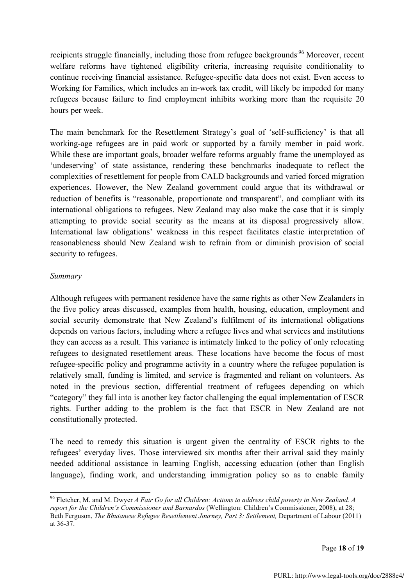recipients struggle financially, including those from refugee backgrounds<sup>96</sup> Moreover, recent welfare reforms have tightened eligibility criteria, increasing requisite conditionality to continue receiving financial assistance. Refugee-specific data does not exist. Even access to Working for Families, which includes an in-work tax credit, will likely be impeded for many refugees because failure to find employment inhibits working more than the requisite 20 hours per week.

The main benchmark for the Resettlement Strategy's goal of 'self-sufficiency' is that all working-age refugees are in paid work or supported by a family member in paid work. While these are important goals, broader welfare reforms arguably frame the unemployed as 'undeserving' of state assistance, rendering these benchmarks inadequate to reflect the complexities of resettlement for people from CALD backgrounds and varied forced migration experiences. However, the New Zealand government could argue that its withdrawal or reduction of benefits is "reasonable, proportionate and transparent", and compliant with its international obligations to refugees. New Zealand may also make the case that it is simply attempting to provide social security as the means at its disposal progressively allow. International law obligations' weakness in this respect facilitates elastic interpretation of reasonableness should New Zealand wish to refrain from or diminish provision of social security to refugees.

#### *Summary*

Although refugees with permanent residence have the same rights as other New Zealanders in the five policy areas discussed, examples from health, housing, education, employment and social security demonstrate that New Zealand's fulfilment of its international obligations depends on various factors, including where a refugee lives and what services and institutions they can access as a result. This variance is intimately linked to the policy of only relocating refugees to designated resettlement areas. These locations have become the focus of most refugee-specific policy and programme activity in a country where the refugee population is relatively small, funding is limited, and service is fragmented and reliant on volunteers. As noted in the previous section, differential treatment of refugees depending on which "category" they fall into is another key factor challenging the equal implementation of ESCR rights. Further adding to the problem is the fact that ESCR in New Zealand are not constitutionally protected.

The need to remedy this situation is urgent given the centrality of ESCR rights to the refugees' everyday lives. Those interviewed six months after their arrival said they mainly needed additional assistance in learning English, accessing education (other than English language), finding work, and understanding immigration policy so as to enable family

 <sup>96</sup> Fletcher, M. and M. Dwyer *A Fair Go for all Children: Actions to address child poverty in New Zealand. A report for the Children's Commissioner and Barnardos* (Wellington: Children's Commissioner, 2008), at 28; Beth Ferguson, *The Bhutanese Refugee Resettlement Journey, Part 3: Settlement*, Department of Labour (2011) at 36-37.